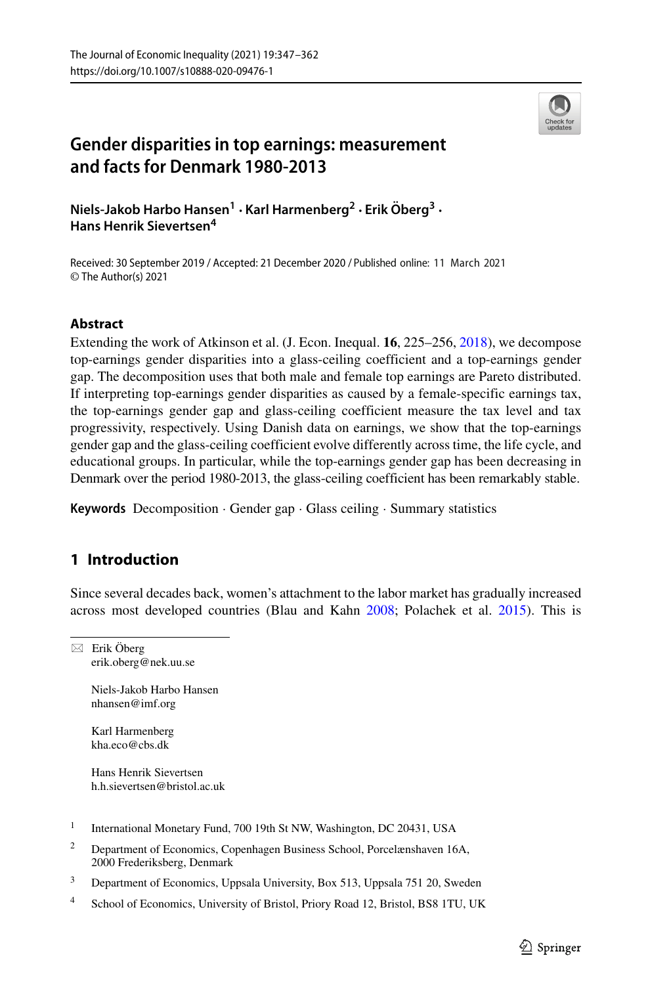

# **Gender disparities in top earnings: measurement and facts for Denmark 1980-2013**

**Niels-Jakob Harbo Hansen<sup>1</sup> · Karl Harmenberg<sup>2</sup> · Erik Oberg ¨ <sup>3</sup> · Hans Henrik Sievertsen<sup>4</sup>**

Received: 30 September 2019 / Accepted: 21 December 2020 / Published online: 11 March 2021© The Author(s) 2021

# **Abstract**

Extending the work of Atkinson et al. (J. Econ. Inequal. **16**, 225–256, [2018\)](#page-14-0), we decompose top-earnings gender disparities into a glass-ceiling coefficient and a top-earnings gender gap. The decomposition uses that both male and female top earnings are Pareto distributed. If interpreting top-earnings gender disparities as caused by a female-specific earnings tax, the top-earnings gender gap and glass-ceiling coefficient measure the tax level and tax progressivity, respectively. Using Danish data on earnings, we show that the top-earnings gender gap and the glass-ceiling coefficient evolve differently across time, the life cycle, and educational groups. In particular, while the top-earnings gender gap has been decreasing in Denmark over the period 1980-2013, the glass-ceiling coefficient has been remarkably stable.

**Keywords** Decomposition · Gender gap · Glass ceiling · Summary statistics

# **1 Introduction**

Since several decades back, women's attachment to the labor market has gradually increased across most developed countries (Blau and Kahn [2008;](#page-15-0) Polachek et al. [2015\)](#page-15-1). This is

 $\boxtimes$  Erik Öberg [erik.oberg@nek.uu.se](mailto: erik.oberg@nek.uu.se)

> Niels-Jakob Harbo Hansen [nhansen@imf.org](mailto: nhansen@imf.org)

Karl Harmenberg [kha.eco@cbs.dk](mailto: kha.eco@cbs.dk)

Hans Henrik Sievertsen [h.h.sievertsen@bristol.ac.uk](mailto: h.h.sievertsen@bristol.ac.uk)

- <sup>1</sup> International Monetary Fund, 700 19th St NW, Washington, DC 20431, USA
- <sup>2</sup> Department of Economics, Copenhagen Business School, Porcelænshaven 16A, 2000 Frederiksberg, Denmark
- <sup>3</sup> Department of Economics, Uppsala University, Box 513, Uppsala 751 20, Sweden
- <sup>4</sup> School of Economics, University of Bristol, Priory Road 12, Bristol, BS8 1TU, UK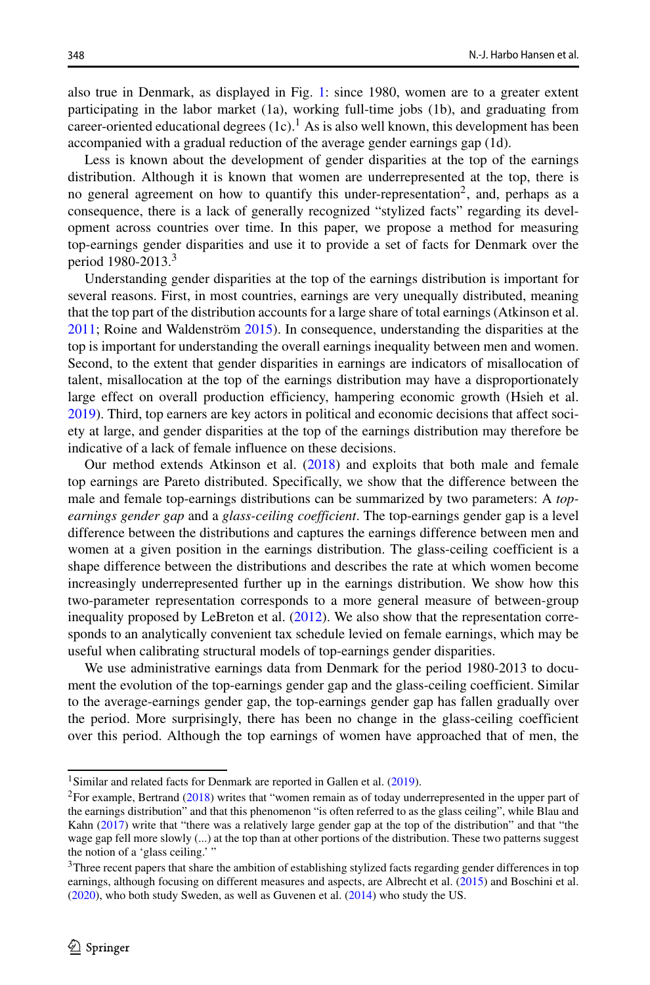also true in Denmark, as displayed in Fig. [1:](#page-2-0) since 1980, women are to a greater extent participating in the labor market (1a), working full-time jobs (1b), and graduating from career-oriented educational degrees  $(1c)$  $(1c)$  $(1c)$ .<sup>1</sup> As is also well known, this development has been accompanied with a gradual reduction of the average gender earnings gap (1d).

Less is known about the development of gender disparities at the top of the earnings distribution. Although it is known that women are underrepresented at the top, there is no general agreement on how to quantify this under-representation<sup>2</sup>, and, perhaps as a consequence, there is a lack of generally recognized "stylized facts" regarding its development across countries over time. In this paper, we propose a method for measuring top-earnings gender disparities and use it to provide a set of facts for Denmark over the period 1980-2013.<sup>3</sup>

Understanding gender disparities at the top of the earnings distribution is important for several reasons. First, in most countries, earnings are very unequally distributed, meaning that the top part of the distribution accounts for a large share of total earnings (Atkinson et al.  $2011$ ; Roine and Waldenström  $2015$ ). In consequence, understanding the disparities at the top is important for understanding the overall earnings inequality between men and women. Second, to the extent that gender disparities in earnings are indicators of misallocation of talent, misallocation at the top of the earnings distribution may have a disproportionately large effect on overall production efficiency, hampering economic growth (Hsieh et al. [2019\)](#page-15-3). Third, top earners are key actors in political and economic decisions that affect society at large, and gender disparities at the top of the earnings distribution may therefore be indicative of a lack of female influence on these decisions.

Our method extends Atkinson et al. [\(2018\)](#page-14-0) and exploits that both male and female top earnings are Pareto distributed. Specifically, we show that the difference between the male and female top-earnings distributions can be summarized by two parameters: A *topearnings gender gap* and a *glass-ceiling coefficient*. The top-earnings gender gap is a level difference between the distributions and captures the earnings difference between men and women at a given position in the earnings distribution. The glass-ceiling coefficient is a shape difference between the distributions and describes the rate at which women become increasingly underrepresented further up in the earnings distribution. We show how this two-parameter representation corresponds to a more general measure of between-group inequality proposed by LeBreton et al. [\(2012\)](#page-15-4). We also show that the representation corresponds to an analytically convenient tax schedule levied on female earnings, which may be useful when calibrating structural models of top-earnings gender disparities.

We use administrative earnings data from Denmark for the period 1980-2013 to document the evolution of the top-earnings gender gap and the glass-ceiling coefficient. Similar to the average-earnings gender gap, the top-earnings gender gap has fallen gradually over the period. More surprisingly, there has been no change in the glass-ceiling coefficient over this period. Although the top earnings of women have approached that of men, the

<sup>&</sup>lt;sup>1</sup>Similar and related facts for Denmark are reported in Gallen et al. [\(2019\)](#page-15-5).

<span id="page-1-1"></span><span id="page-1-0"></span><sup>&</sup>lt;sup>2</sup>For example, Bertrand ( $2018$ ) writes that "women remain as of today underrepresented in the upper part of the earnings distribution" and that this phenomenon "is often referred to as the glass ceiling", while Blau and Kahn [\(2017\)](#page-15-7) write that "there was a relatively large gender gap at the top of the distribution" and that "the wage gap fell more slowly (...) at the top than at other portions of the distribution. These two patterns suggest the notion of a 'glass ceiling.' "

<span id="page-1-2"></span><sup>&</sup>lt;sup>3</sup>Three recent papers that share the ambition of establishing stylized facts regarding gender differences in top earnings, although focusing on different measures and aspects, are Albrecht et al. [\(2015\)](#page-14-2) and Boschini et al. [\(2020\)](#page-15-8), who both study Sweden, as well as Guvenen et al. [\(2014\)](#page-15-9) who study the US.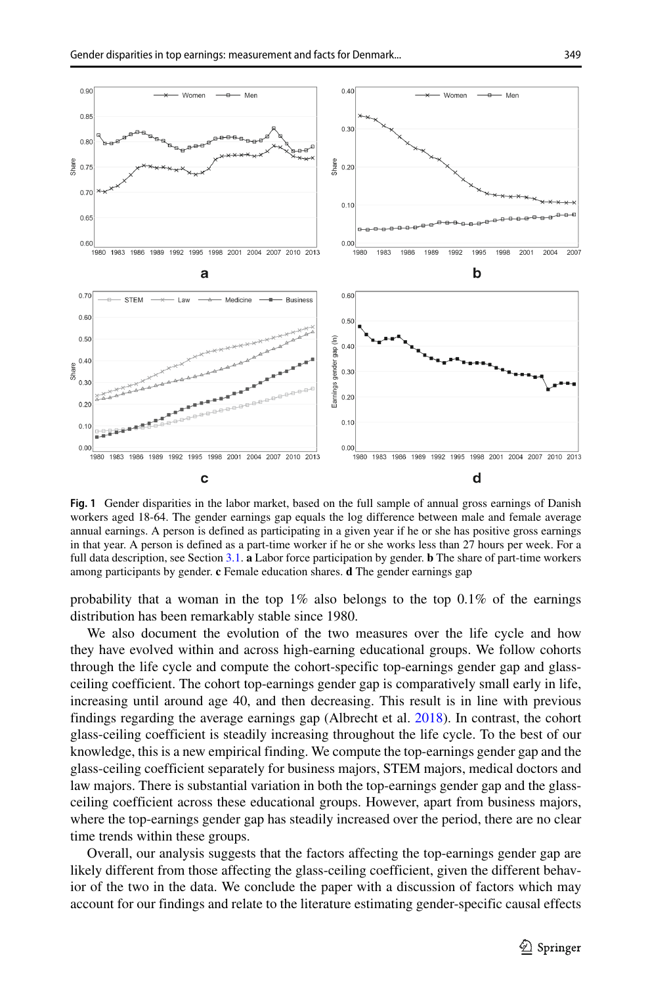<span id="page-2-0"></span>

**Fig. 1** Gender disparities in the labor market, based on the full sample of annual gross earnings of Danish workers aged 18-64. The gender earnings gap equals the log difference between male and female average annual earnings. A person is defined as participating in a given year if he or she has positive gross earnings in that year. A person is defined as a part-time worker if he or she works less than 27 hours per week. For a full data description, see Section [3.1.](#page-6-0) **a** Labor force participation by gender. **b** The share of part-time workers among participants by gender. **c** Female education shares. **d** The gender earnings gap

probability that a woman in the top  $1\%$  also belongs to the top  $0.1\%$  of the earnings distribution has been remarkably stable since 1980.

We also document the evolution of the two measures over the life cycle and how they have evolved within and across high-earning educational groups. We follow cohorts through the life cycle and compute the cohort-specific top-earnings gender gap and glassceiling coefficient. The cohort top-earnings gender gap is comparatively small early in life, increasing until around age 40, and then decreasing. This result is in line with previous findings regarding the average earnings gap (Albrecht et al. [2018\)](#page-14-3). In contrast, the cohort glass-ceiling coefficient is steadily increasing throughout the life cycle. To the best of our knowledge, this is a new empirical finding. We compute the top-earnings gender gap and the glass-ceiling coefficient separately for business majors, STEM majors, medical doctors and law majors. There is substantial variation in both the top-earnings gender gap and the glassceiling coefficient across these educational groups. However, apart from business majors, where the top-earnings gender gap has steadily increased over the period, there are no clear time trends within these groups.

Overall, our analysis suggests that the factors affecting the top-earnings gender gap are likely different from those affecting the glass-ceiling coefficient, given the different behavior of the two in the data. We conclude the paper with a discussion of factors which may account for our findings and relate to the literature estimating gender-specific causal effects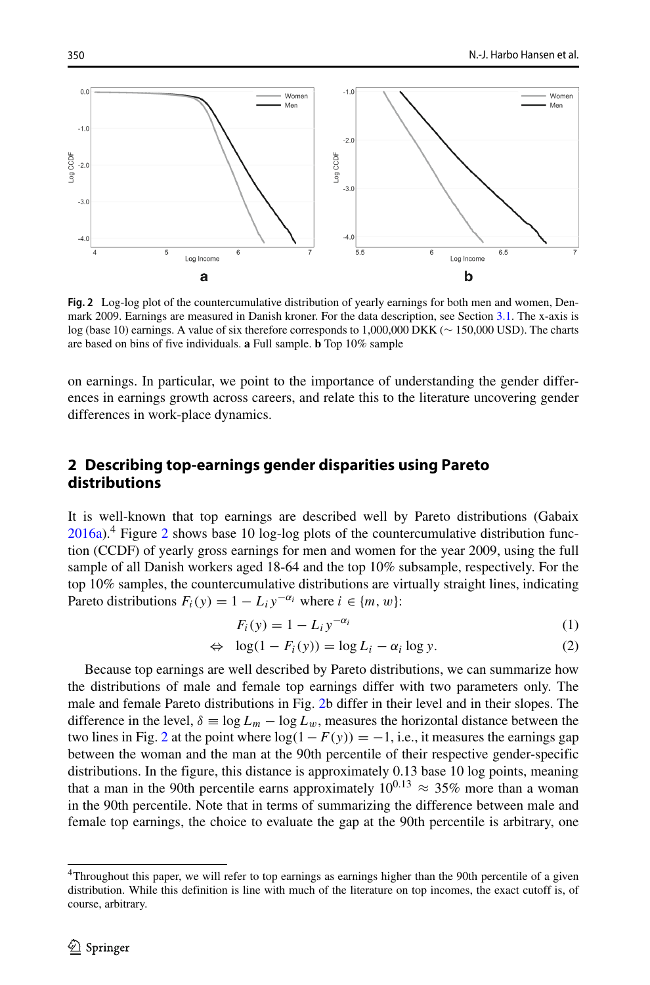<span id="page-3-1"></span>

**Fig. 2** Log-log plot of the countercumulative distribution of yearly earnings for both men and women, Denmark 2009. Earnings are measured in Danish kroner. For the data description, see Section [3.1.](#page-6-0) The x-axis is log (base 10) earnings. A value of six therefore corresponds to 1,000,000 DKK (∼ 150,000 USD). The charts are based on bins of five individuals. **a** Full sample. **b** Top 10% sample

on earnings. In particular, we point to the importance of understanding the gender differences in earnings growth across careers, and relate this to the literature uncovering gender differences in work-place dynamics.

# <span id="page-3-2"></span>**2 Describing top-earnings gender disparities using Pareto distributions**

It is well-known that top earnings are described well by Pareto distributions (Gabaix  $2016a$  $2016a$ <sup>[4](#page-3-0)</sup>. Figure 2 shows base 10 log-log plots of the countercumulative distribution function (CCDF) of yearly gross earnings for men and women for the year 2009, using the full sample of all Danish workers aged 18-64 and the top 10% subsample, respectively. For the top 10% samples, the countercumulative distributions are virtually straight lines, indicating Pareto distributions  $F_i(y) = 1 - L_i y^{-\alpha_i}$  where  $i \in \{m, w\}$ :

$$
F_i(y) = 1 - L_i y^{-\alpha_i} \tag{1}
$$

$$
\Leftrightarrow \log(1 - F_i(y)) = \log L_i - \alpha_i \log y. \tag{2}
$$

Because top earnings are well described by Pareto distributions, we can summarize how the distributions of male and female top earnings differ with two parameters only. The male and female Pareto distributions in Fig. [2b](#page-3-1) differ in their level and in their slopes. The difference in the level,  $\delta \equiv \log L_m - \log L_w$ , measures the horizontal distance between the two lines in Fig. [2](#page-3-1) at the point where  $log(1 - F(y)) = -1$ , i.e., it measures the earnings gap between the woman and the man at the 90th percentile of their respective gender-specific distributions. In the figure, this distance is approximately 0.13 base 10 log points, meaning that a man in the 90th percentile earns approximately  $10^{0.13} \approx 35\%$  more than a woman in the 90th percentile. Note that in terms of summarizing the difference between male and female top earnings, the choice to evaluate the gap at the 90th percentile is arbitrary, one

<span id="page-3-0"></span><sup>4</sup>Throughout this paper, we will refer to top earnings as earnings higher than the 90th percentile of a given distribution. While this definition is line with much of the literature on top incomes, the exact cutoff is, of course, arbitrary.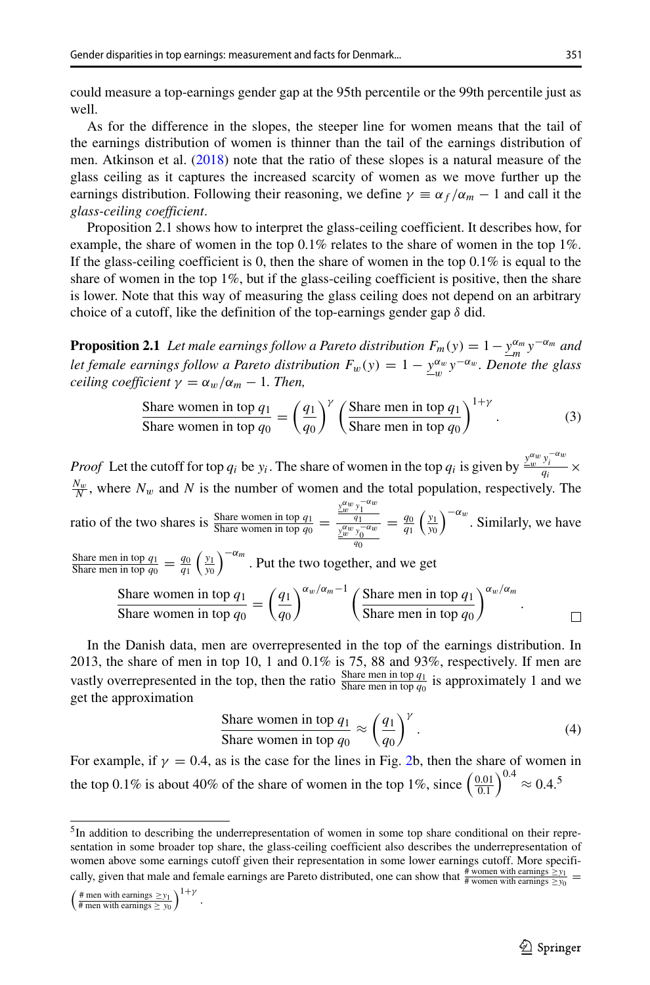could measure a top-earnings gender gap at the 95th percentile or the 99th percentile just as well.

As for the difference in the slopes, the steeper line for women means that the tail of the earnings distribution of women is thinner than the tail of the earnings distribution of men. Atkinson et al. [\(2018\)](#page-14-0) note that the ratio of these slopes is a natural measure of the glass ceiling as it captures the increased scarcity of women as we move further up the earnings distribution. Following their reasoning, we define  $\gamma \equiv \alpha_f / \alpha_m - 1$  and call it the *glass-ceiling coefficient*.

Proposition 2.1 shows how to interpret the glass-ceiling coefficient. It describes how, for example, the share of women in the top 0.1% relates to the share of women in the top 1%. If the glass-ceiling coefficient is 0, then the share of women in the top  $0.1\%$  is equal to the share of women in the top  $1\%$ , but if the glass-ceiling coefficient is positive, then the share is lower. Note that this way of measuring the glass ceiling does not depend on an arbitrary choice of a cutoff, like the definition of the top-earnings gender gap *δ* did.

**Proposition 2.1** *Let male earnings follow a Pareto distribution*  $F_m(y) = 1 - \frac{y^{\alpha_m}}{m} y^{-\alpha_m}$  and *let female earnings follow a Pareto distribution*  $F_w(y) = 1 - \frac{y^{\alpha_w}}{w} y^{-\alpha_w}$ . Denote the glass *ceiling coefficient*  $\gamma = \alpha_w / \alpha_m - 1$ *. Then,* 

\n
$$
\text{Share women in top } q_1 = \left( \frac{q_1}{q_0} \right)^{\gamma} \left( \frac{\text{Share men in top } q_1}{\text{Share men in top } q_0} \right)^{1+\gamma}.
$$
\n

\n\n (3)\n

*Proof* Let the cutoff for top  $q_i$  be  $y_i$ . The share of women in the top  $q_i$  is given by  $\frac{y_i^{aw} y_i^{-aw}}{q_i} \times$  $\frac{N_w}{N}$ , where  $N_w$  and  $N$  is the number of women and the total population, respectively. The  $y_2^{\frac{y_2^{\alpha}w}{y_1^{\alpha}w}}$   $=$   $\frac{q_0}{q_1} \left(\frac{y_1}{y_0}\right)^{-\alpha_w}$ . Similarly, we have ratio of the two shares is  $\frac{\text{Share women in top } q_1}{\text{Share women in top } q_0}$ *q*0 Share men in top  $q_1 = q_0 \left(\frac{y_1}{y_0}\right)^{-\alpha_m}$ . Put the two together, and we get  $\int_{0}^{\alpha_w/\alpha_m-1} f(s)$  Share men in top  $q_1$  $\bigg\}^{\alpha_w/\alpha_m}$ . Share women in top *q*<sup>1</sup>  $q_1$ Share women in top  $q_0$  = *q*0 Share men in top *q*<sup>0</sup>  $\Box$ 

In the Danish data, men are overrepresented in the top of the earnings distribution. In 2013, the share of men in top 10, 1 and  $0.1\%$  is 75, 88 and 93%, respectively. If men are vastly overrepresented in the top, then the ratio  $\frac{\text{Share men in top } q_1}{\text{Share men in top } q_0}$  is approximately 1 and we get the approximation

Share women in top 
$$
q_1
$$

\n
$$
\approx \left(\frac{q_1}{q_0}\right)^{\gamma}.
$$
\n(4)

For example, if  $\gamma = 0.4$ , as is the case for the lines in Fig. [2b](#page-3-1), then the share of women in the top 0.1% is about 40% of the share of women in the top 1%, since  $\left(\frac{0.01}{0.1}\right)^{0.4} \approx 0.4$ .<sup>5</sup>

$$
\left(\frac{\text{\# men with earnings } \ge y_1}{\text{\# men with earnings } \ge y_0}\right)^{1+\gamma}
$$

.

<span id="page-4-0"></span><sup>&</sup>lt;sup>5</sup>In addition to describing the underrepresentation of women in some top share conditional on their representation in some broader top share, the glass-ceiling coefficient also describes the underrepresentation of women above some earnings cutoff given their representation in some lower earnings cutoff. More specifically, given that male and female earnings are Pareto distributed, one can show that  $\frac{\# \text{ women with earnings} \geq y_1}{\# \text{ women with earnings} \geq y_0}$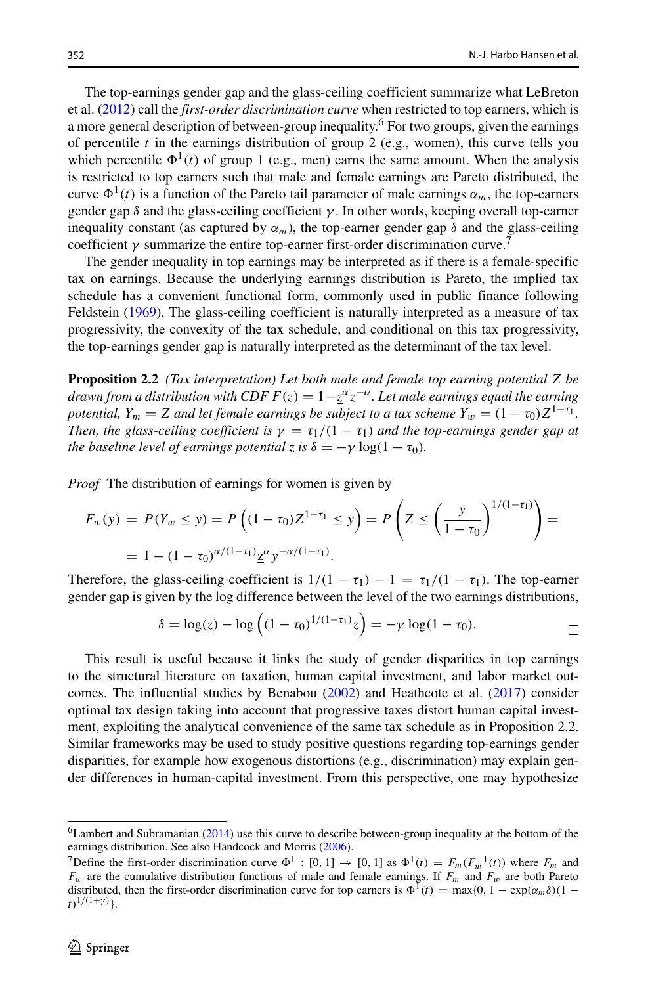The top-earnings gender gap and the glass-ceiling coefficient summarize what LeBreton et al. [\(2012\)](#page-15-4) call the *first-order discrimination curve* when restricted to top earners, which is a more general description of between-group inequality.<sup>[6](#page-5-0)</sup> For two groups, given the earnings of percentile *t* in the earnings distribution of group 2 (e.g., women), this curve tells you which percentile  $\Phi^1(t)$  of group 1 (e.g., men) earns the same amount. When the analysis is restricted to top earners such that male and female earnings are Pareto distributed, the curve  $\Phi^1(t)$  is a function of the Pareto tail parameter of male earnings  $\alpha_m$ , the top-earners gender gap  $\delta$  and the glass-ceiling coefficient  $\gamma$ . In other words, keeping overall top-earner inequality constant (as captured by  $\alpha_m$ ), the top-earner gender gap  $\delta$  and the glass-ceiling coefficient  $\gamma$  summarize the entire top-earner first-order discrimination curve.

The gender inequality in top earnings may be interpreted as if there is a female-specific tax on earnings. Because the underlying earnings distribution is Pareto, the implied tax schedule has a convenient functional form, commonly used in public finance following Feldstein [\(1969\)](#page-15-11). The glass-ceiling coefficient is naturally interpreted as a measure of tax progressivity, the convexity of the tax schedule, and conditional on this tax progressivity, the top-earnings gender gap is naturally interpreted as the determinant of the tax level:

**Proposition 2.2** *(Tax interpretation) Let both male and female top earning potential Z be drawn from a distribution with CDF*  $F(z) = 1 - \frac{z}{z} + \alpha z - \alpha$ . Let male earnings equal the earning *potential,*  $Y_m = Z$  *and let female earnings be subject to a tax scheme*  $Y_w = (1 - \tau_0)Z^{1 - \tau_1}$ *. Then, the glass-ceiling coefficient is*  $\gamma = \tau_1/(1 - \tau_1)$  *and the top-earnings gender gap at the baseline level of earnings potential*  $\overline{z}$  *is*  $\delta = -\gamma \log(1 - \tau_0)$ *.* 

*Proof* The distribution of earnings for women is given by

$$
F_w(y) = P(Y_w \le y) = P\left((1 - \tau_0)Z^{1 - \tau_1} \le y\right) = P\left(Z \le \left(\frac{y}{1 - \tau_0}\right)^{1/(1 - \tau_1)}\right) =
$$
  
= 1 - (1 - \tau\_0)^{\alpha/(1 - \tau\_1)} \underline{z}^{\alpha} y^{-\alpha/(1 - \tau\_1)}.

Therefore, the glass-ceiling coefficient is  $1/(1 - \tau_1) - 1 = \tau_1/(1 - \tau_1)$ . The top-earner gender gap is given by the log difference between the level of the two earnings distributions,

$$
\delta = \log(\underline{z}) - \log\left((1-\tau_0)^{1/(1-\tau_1)}\underline{z}\right) = -\gamma \log(1-\tau_0).
$$

This result is useful because it links the study of gender disparities in top earnings to the structural literature on taxation, human capital investment, and labor market outcomes. The influential studies by Benabou [\(2002\)](#page-15-12) and Heathcote et al. [\(2017\)](#page-15-13) consider optimal tax design taking into account that progressive taxes distort human capital investment, exploiting the analytical convenience of the same tax schedule as in Proposition 2.2. Similar frameworks may be used to study positive questions regarding top-earnings gender disparities, for example how exogenous distortions (e.g., discrimination) may explain gender differences in human-capital investment. From this perspective, one may hypothesize

<span id="page-5-0"></span><sup>6</sup>Lambert and Subramanian [\(2014\)](#page-15-14) use this curve to describe between-group inequality at the bottom of the earnings distribution. See also Handcock and Morris [\(2006\)](#page-15-15).

<span id="page-5-1"></span><sup>7</sup>Define the first-order discrimination curve  $\Phi^1$ : [0, 1]  $\rightarrow$  [0, 1] as  $\Phi^1(t) = F_m(F_m^{-1}(t))$  where  $F_m$  and *Fw* are the cumulative distribution functions of male and female earnings. If *Fm* and *Fw* are both Pareto distributed, then the first-order discrimination curve for top earners is  $\Phi^1(t) = \max\{0, 1 - \exp(\alpha_m \delta)(1 - \epsilon)\}$  $t)^{1/(1+\gamma)}$ }.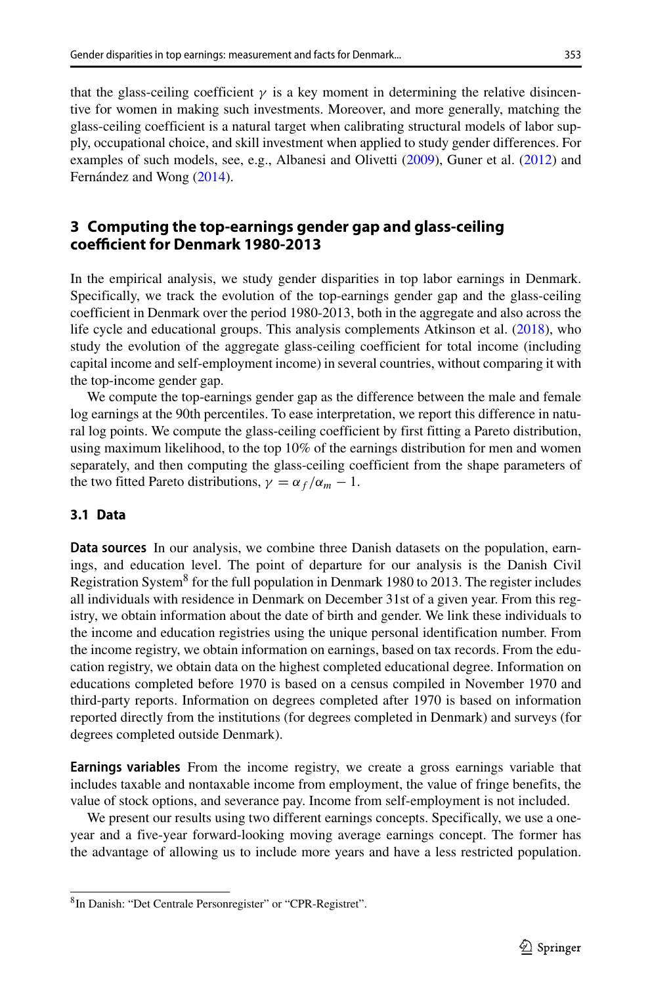that the glass-ceiling coefficient  $\gamma$  is a key moment in determining the relative disincentive for women in making such investments. Moreover, and more generally, matching the glass-ceiling coefficient is a natural target when calibrating structural models of labor supply, occupational choice, and skill investment when applied to study gender differences. For examples of such models, see, e.g., Albanesi and Olivetti [\(2009\)](#page-14-4), Guner et al. [\(2012\)](#page-15-16) and Fernández and Wong ([2014\)](#page-15-17).

# **3 Computing the top-earnings gender gap and glass-ceiling coefficient for Denmark 1980-2013**

In the empirical analysis, we study gender disparities in top labor earnings in Denmark. Specifically, we track the evolution of the top-earnings gender gap and the glass-ceiling coefficient in Denmark over the period 1980-2013, both in the aggregate and also across the life cycle and educational groups. This analysis complements Atkinson et al. [\(2018\)](#page-14-0), who study the evolution of the aggregate glass-ceiling coefficient for total income (including capital income and self-employment income) in several countries, without comparing it with the top-income gender gap.

We compute the top-earnings gender gap as the difference between the male and female log earnings at the 90th percentiles. To ease interpretation, we report this difference in natural log points. We compute the glass-ceiling coefficient by first fitting a Pareto distribution, using maximum likelihood, to the top 10% of the earnings distribution for men and women separately, and then computing the glass-ceiling coefficient from the shape parameters of the two fitted Pareto distributions,  $\gamma = \alpha_f / \alpha_m - 1$ .

#### <span id="page-6-0"></span>**3.1 Data**

**Data sources** In our analysis, we combine three Danish datasets on the population, earnings, and education level. The point of departure for our analysis is the Danish Civil Registration System<sup>8</sup> for the full population in Denmark 1980 to 2013. The register includes all individuals with residence in Denmark on December 31st of a given year. From this registry, we obtain information about the date of birth and gender. We link these individuals to the income and education registries using the unique personal identification number. From the income registry, we obtain information on earnings, based on tax records. From the education registry, we obtain data on the highest completed educational degree. Information on educations completed before 1970 is based on a census compiled in November 1970 and third-party reports. Information on degrees completed after 1970 is based on information reported directly from the institutions (for degrees completed in Denmark) and surveys (for degrees completed outside Denmark).

**Earnings variables** From the income registry, we create a gross earnings variable that includes taxable and nontaxable income from employment, the value of fringe benefits, the value of stock options, and severance pay. Income from self-employment is not included.

We present our results using two different earnings concepts. Specifically, we use a oneyear and a five-year forward-looking moving average earnings concept. The former has the advantage of allowing us to include more years and have a less restricted population.

<span id="page-6-1"></span><sup>8</sup>In Danish: "Det Centrale Personregister" or "CPR-Registret".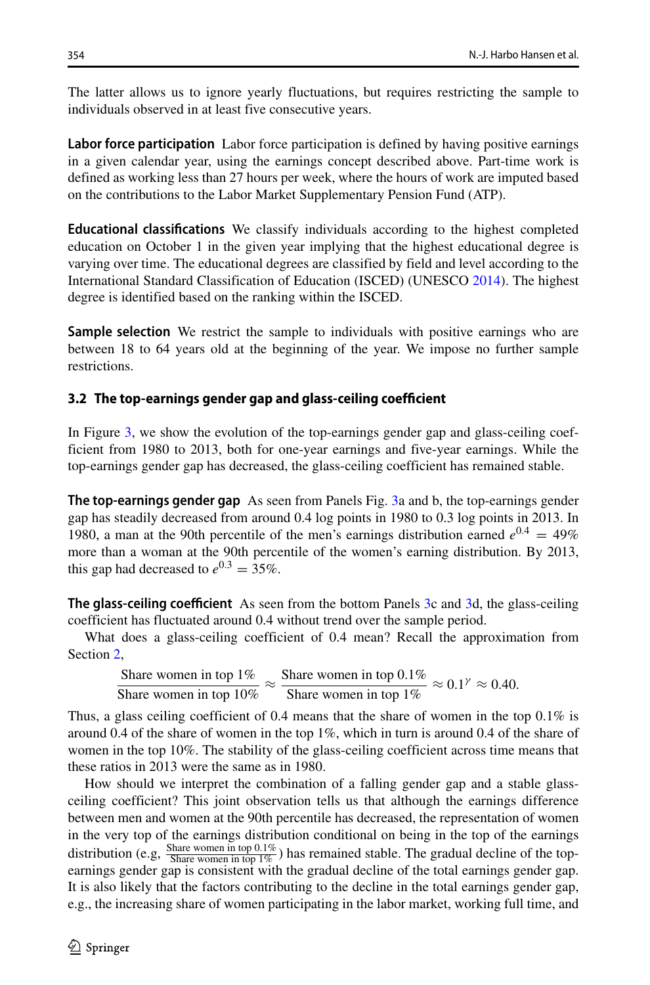The latter allows us to ignore yearly fluctuations, but requires restricting the sample to individuals observed in at least five consecutive years.

**Labor force participation** Labor force participation is defined by having positive earnings in a given calendar year, using the earnings concept described above. Part-time work is defined as working less than 27 hours per week, where the hours of work are imputed based on the contributions to the Labor Market Supplementary Pension Fund (ATP).

**Educational classifications** We classify individuals according to the highest completed education on October 1 in the given year implying that the highest educational degree is varying over time. The educational degrees are classified by field and level according to the International Standard Classification of Education (ISCED) (UNESCO [2014\)](#page-15-18). The highest degree is identified based on the ranking within the ISCED.

**Sample selection** We restrict the sample to individuals with positive earnings who are between 18 to 64 years old at the beginning of the year. We impose no further sample restrictions.

#### **3.2 The top-earnings gender gap and glass-ceiling coefficient**

In Figure [3,](#page-8-0) we show the evolution of the top-earnings gender gap and glass-ceiling coefficient from 1980 to 2013, both for one-year earnings and five-year earnings. While the top-earnings gender gap has decreased, the glass-ceiling coefficient has remained stable.

**The top-earnings gender gap** As seen from Panels Fig. [3a](#page-8-0) and b, the top-earnings gender gap has steadily decreased from around 0.4 log points in 1980 to 0.3 log points in 2013. In 1980, a man at the 90th percentile of the men's earnings distribution earned  $e^{0.4} = 49\%$ more than a woman at the 90th percentile of the women's earning distribution. By 2013, this gap had decreased to  $e^{0.3} = 35\%$ .

**The glass-ceiling coefficient** As seen from the bottom Panels [3c](#page-8-0) and [3d](#page-8-0), the glass-ceiling coefficient has fluctuated around 0.4 without trend over the sample period.

What does a glass-ceiling coefficient of 0.4 mean? Recall the approximation from Section [2,](#page-3-2)

Share women in top 1%  $\approx$  Share women in top 0.1%  $\approx$  0.1<sup>*γ*</sup>  $\approx$  0.40.<br>Share women in top 1%

Thus, a glass ceiling coefficient of 0.4 means that the share of women in the top  $0.1\%$  is around 0.4 of the share of women in the top  $1\%$ , which in turn is around 0.4 of the share of women in the top 10%. The stability of the glass-ceiling coefficient across time means that these ratios in 2013 were the same as in 1980.

How should we interpret the combination of a falling gender gap and a stable glassceiling coefficient? This joint observation tells us that although the earnings difference between men and women at the 90th percentile has decreased, the representation of women in the very top of the earnings distribution conditional on being in the top of the earnings distribution (e.g,  $\frac{\text{Share women in top } 0.1\%}{\text{Share women in top } 1\%}$ ) has remained stable. The gradual decline of the topearnings gender gap is consistent with the gradual decline of the total earnings gender gap. It is also likely that the factors contributing to the decline in the total earnings gender gap, e.g., the increasing share of women participating in the labor market, working full time, and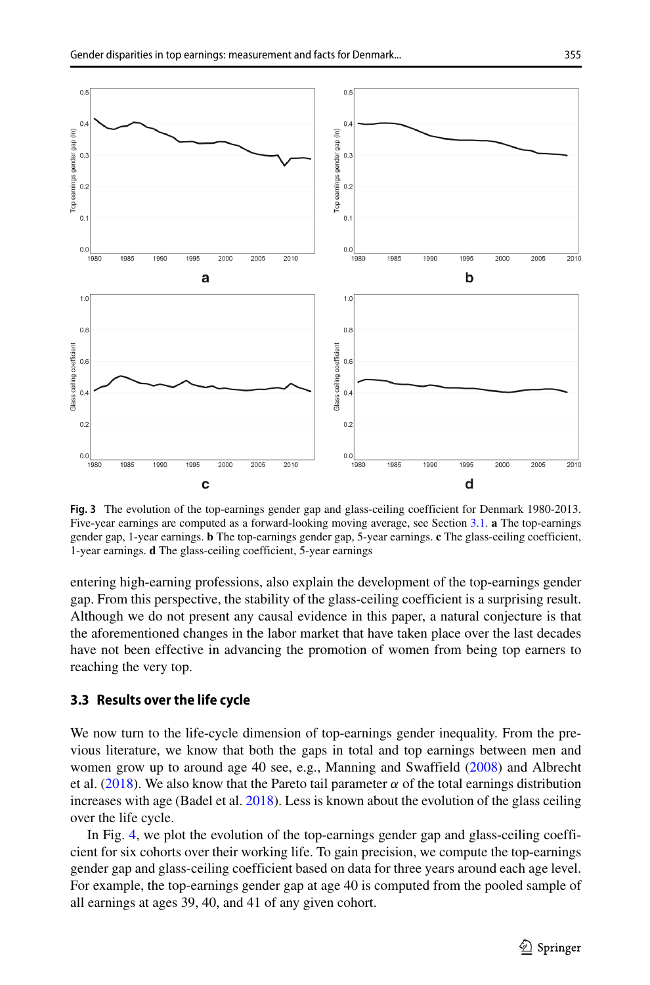<span id="page-8-0"></span>

**Fig. 3** The evolution of the top-earnings gender gap and glass-ceiling coefficient for Denmark 1980-2013. Five-year earnings are computed as a forward-looking moving average, see Section [3.1.](#page-6-0) **a** The top-earnings gender gap, 1-year earnings. **b** The top-earnings gender gap, 5-year earnings. **c** The glass-ceiling coefficient, 1-year earnings. **d** The glass-ceiling coefficient, 5-year earnings

entering high-earning professions, also explain the development of the top-earnings gender gap. From this perspective, the stability of the glass-ceiling coefficient is a surprising result. Although we do not present any causal evidence in this paper, a natural conjecture is that the aforementioned changes in the labor market that have taken place over the last decades have not been effective in advancing the promotion of women from being top earners to reaching the very top.

#### **3.3 Results over the life cycle**

We now turn to the life-cycle dimension of top-earnings gender inequality. From the previous literature, we know that both the gaps in total and top earnings between men and women grow up to around age 40 see, e.g., Manning and Swaffield [\(2008\)](#page-15-19) and Albrecht et al. [\(2018\)](#page-14-3). We also know that the Pareto tail parameter  $\alpha$  of the total earnings distribution increases with age (Badel et al. [2018\)](#page-15-20). Less is known about the evolution of the glass ceiling over the life cycle.

In Fig. [4,](#page-9-0) we plot the evolution of the top-earnings gender gap and glass-ceiling coefficient for six cohorts over their working life. To gain precision, we compute the top-earnings gender gap and glass-ceiling coefficient based on data for three years around each age level. For example, the top-earnings gender gap at age 40 is computed from the pooled sample of all earnings at ages 39, 40, and 41 of any given cohort.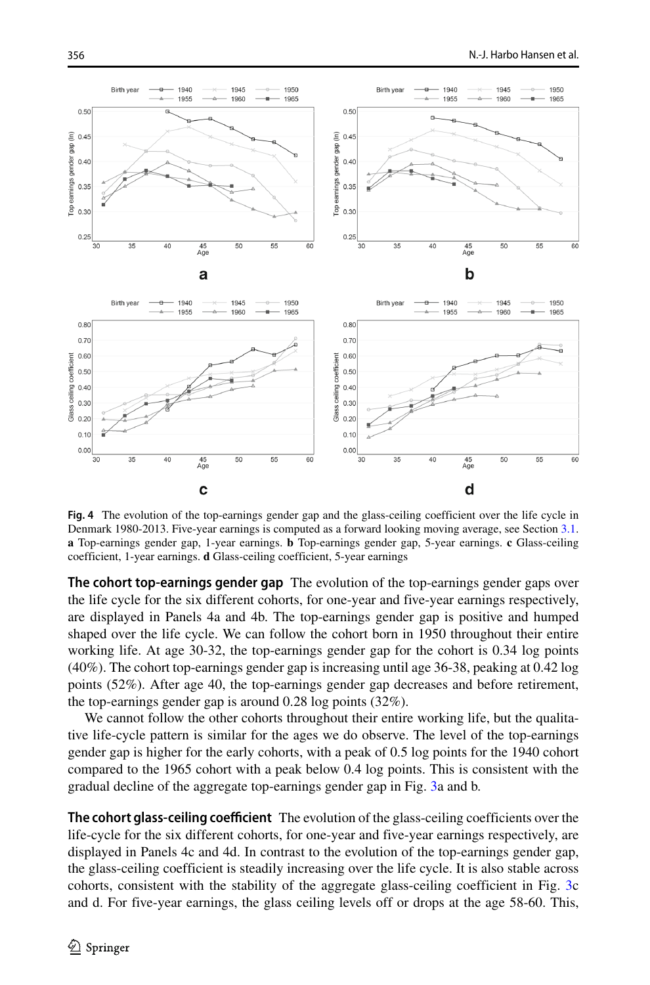<span id="page-9-0"></span>

**Fig. 4** The evolution of the top-earnings gender gap and the glass-ceiling coefficient over the life cycle in Denmark 1980-2013. Five-year earnings is computed as a forward looking moving average, see Section [3.1.](#page-6-0) **a** Top-earnings gender gap, 1-year earnings. **b** Top-earnings gender gap, 5-year earnings. **c** Glass-ceiling coefficient, 1-year earnings. **d** Glass-ceiling coefficient, 5-year earnings

**The cohort top-earnings gender gap** The evolution of the top-earnings gender gaps over the life cycle for the six different cohorts, for one-year and five-year earnings respectively, are displayed in Panels 4a and 4b. The top-earnings gender gap is positive and humped shaped over the life cycle. We can follow the cohort born in 1950 throughout their entire working life. At age 30-32, the top-earnings gender gap for the cohort is 0.34 log points (40%). The cohort top-earnings gender gap is increasing until age 36-38, peaking at 0.42 log points (52%). After age 40, the top-earnings gender gap decreases and before retirement, the top-earnings gender gap is around 0.28 log points (32%).

We cannot follow the other cohorts throughout their entire working life, but the qualitative life-cycle pattern is similar for the ages we do observe. The level of the top-earnings gender gap is higher for the early cohorts, with a peak of 0.5 log points for the 1940 cohort compared to the 1965 cohort with a peak below 0.4 log points. This is consistent with the gradual decline of the aggregate top-earnings gender gap in Fig. [3a](#page-8-0) and b.

**The cohort glass-ceiling coefficient** The evolution of the glass-ceiling coefficients over the life-cycle for the six different cohorts, for one-year and five-year earnings respectively, are displayed in Panels 4c and 4d. In contrast to the evolution of the top-earnings gender gap, the glass-ceiling coefficient is steadily increasing over the life cycle. It is also stable across cohorts, consistent with the stability of the aggregate glass-ceiling coefficient in Fig. [3c](#page-8-0) and d. For five-year earnings, the glass ceiling levels off or drops at the age 58-60. This,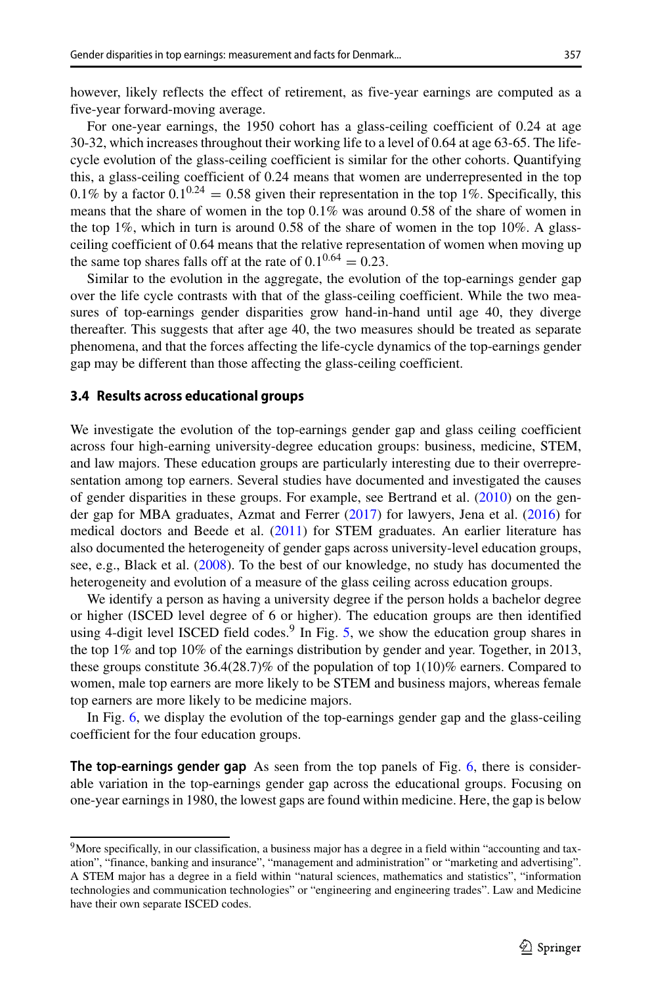however, likely reflects the effect of retirement, as five-year earnings are computed as a five-year forward-moving average.

For one-year earnings, the 1950 cohort has a glass-ceiling coefficient of 0.24 at age 30-32, which increases throughout their working life to a level of 0.64 at age 63-65. The lifecycle evolution of the glass-ceiling coefficient is similar for the other cohorts. Quantifying this, a glass-ceiling coefficient of 0.24 means that women are underrepresented in the top 0.1% by a factor  $0.1^{0.24} = 0.58$  given their representation in the top 1%. Specifically, this means that the share of women in the top 0.1% was around 0.58 of the share of women in the top 1%, which in turn is around 0.58 of the share of women in the top 10%. A glassceiling coefficient of 0.64 means that the relative representation of women when moving up the same top shares falls off at the rate of  $0.1^{0.64} = 0.23$ .

Similar to the evolution in the aggregate, the evolution of the top-earnings gender gap over the life cycle contrasts with that of the glass-ceiling coefficient. While the two measures of top-earnings gender disparities grow hand-in-hand until age 40, they diverge thereafter. This suggests that after age 40, the two measures should be treated as separate phenomena, and that the forces affecting the life-cycle dynamics of the top-earnings gender gap may be different than those affecting the glass-ceiling coefficient.

#### **3.4 Results across educational groups**

We investigate the evolution of the top-earnings gender gap and glass ceiling coefficient across four high-earning university-degree education groups: business, medicine, STEM, and law majors. These education groups are particularly interesting due to their overrepresentation among top earners. Several studies have documented and investigated the causes of gender disparities in these groups. For example, see Bertrand et al. [\(2010\)](#page-15-21) on the gender gap for MBA graduates, Azmat and Ferrer [\(2017\)](#page-14-5) for lawyers, Jena et al. [\(2016\)](#page-15-22) for medical doctors and Beede et al. [\(2011\)](#page-15-23) for STEM graduates. An earlier literature has also documented the heterogeneity of gender gaps across university-level education groups, see, e.g., Black et al. [\(2008\)](#page-15-24). To the best of our knowledge, no study has documented the heterogeneity and evolution of a measure of the glass ceiling across education groups.

We identify a person as having a university degree if the person holds a bachelor degree or higher (ISCED level degree of 6 or higher). The education groups are then identified using 4-digit level ISCED field codes.<sup>9</sup> In Fig. [5,](#page-11-0) we show the education group shares in the top 1% and top 10% of the earnings distribution by gender and year. Together, in 2013, these groups constitute 36.4(28.7)% of the population of top  $1(10)$ % earners. Compared to women, male top earners are more likely to be STEM and business majors, whereas female top earners are more likely to be medicine majors.

In Fig. [6,](#page-12-0) we display the evolution of the top-earnings gender gap and the glass-ceiling coefficient for the four education groups.

**The top-earnings gender gap** As seen from the top panels of Fig. [6,](#page-12-0) there is considerable variation in the top-earnings gender gap across the educational groups. Focusing on one-year earnings in 1980, the lowest gaps are found within medicine. Here, the gap is below

<span id="page-10-0"></span><sup>&</sup>lt;sup>9</sup>More specifically, in our classification, a business major has a degree in a field within "accounting and taxation", "finance, banking and insurance", "management and administration" or "marketing and advertising". A STEM major has a degree in a field within "natural sciences, mathematics and statistics", "information technologies and communication technologies" or "engineering and engineering trades". Law and Medicine have their own separate ISCED codes.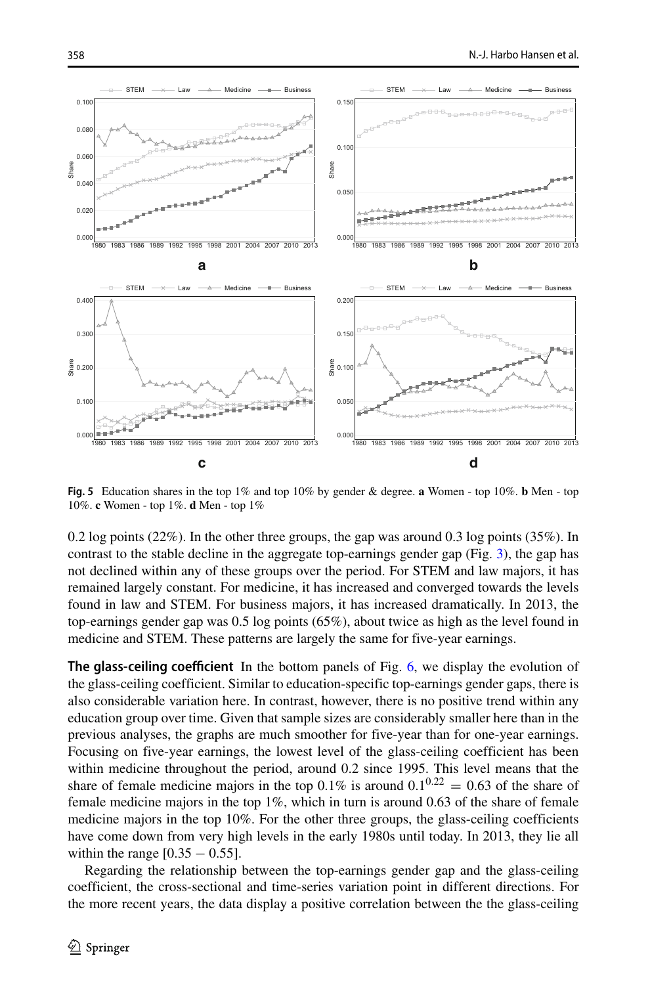<span id="page-11-0"></span>

**Fig. 5** Education shares in the top 1% and top 10% by gender & degree. **a** Women - top 10%. **b** Men - top 10%. **c** Women - top 1%. **d** Men - top 1%

0.2 log points (22%). In the other three groups, the gap was around 0.3 log points (35%). In contrast to the stable decline in the aggregate top-earnings gender gap (Fig. [3\)](#page-8-0), the gap has not declined within any of these groups over the period. For STEM and law majors, it has remained largely constant. For medicine, it has increased and converged towards the levels found in law and STEM. For business majors, it has increased dramatically. In 2013, the top-earnings gender gap was 0.5 log points (65%), about twice as high as the level found in medicine and STEM. These patterns are largely the same for five-year earnings.

**The glass-ceiling coefficient** In the bottom panels of Fig. [6,](#page-12-0) we display the evolution of the glass-ceiling coefficient. Similar to education-specific top-earnings gender gaps, there is also considerable variation here. In contrast, however, there is no positive trend within any education group over time. Given that sample sizes are considerably smaller here than in the previous analyses, the graphs are much smoother for five-year than for one-year earnings. Focusing on five-year earnings, the lowest level of the glass-ceiling coefficient has been within medicine throughout the period, around 0.2 since 1995. This level means that the share of female medicine majors in the top 0.1% is around  $0.1^{0.22} = 0.63$  of the share of female medicine majors in the top 1%, which in turn is around 0.63 of the share of female medicine majors in the top 10%. For the other three groups, the glass-ceiling coefficients have come down from very high levels in the early 1980s until today. In 2013, they lie all within the range  $[0.35 - 0.55]$ .

Regarding the relationship between the top-earnings gender gap and the glass-ceiling coefficient, the cross-sectional and time-series variation point in different directions. For the more recent years, the data display a positive correlation between the the glass-ceiling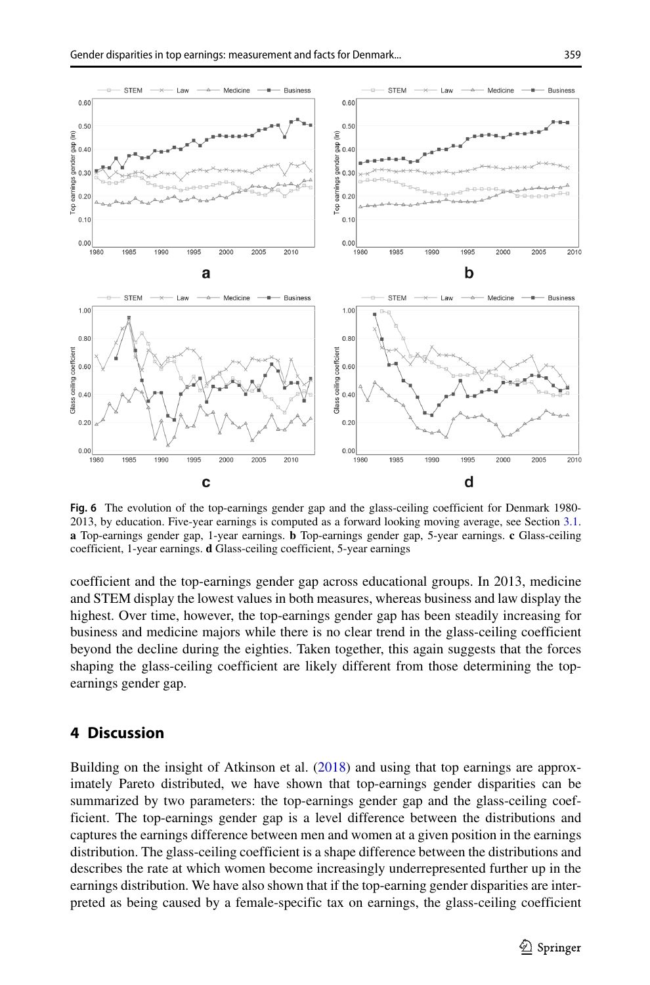<span id="page-12-0"></span>

**Fig. 6** The evolution of the top-earnings gender gap and the glass-ceiling coefficient for Denmark 1980- 2013, by education. Five-year earnings is computed as a forward looking moving average, see Section [3.1.](#page-6-0) **a** Top-earnings gender gap, 1-year earnings. **b** Top-earnings gender gap, 5-year earnings. **c** Glass-ceiling coefficient, 1-year earnings. **d** Glass-ceiling coefficient, 5-year earnings

coefficient and the top-earnings gender gap across educational groups. In 2013, medicine and STEM display the lowest values in both measures, whereas business and law display the highest. Over time, however, the top-earnings gender gap has been steadily increasing for business and medicine majors while there is no clear trend in the glass-ceiling coefficient beyond the decline during the eighties. Taken together, this again suggests that the forces shaping the glass-ceiling coefficient are likely different from those determining the topearnings gender gap.

# **4 Discussion**

Building on the insight of Atkinson et al. [\(2018\)](#page-14-0) and using that top earnings are approximately Pareto distributed, we have shown that top-earnings gender disparities can be summarized by two parameters: the top-earnings gender gap and the glass-ceiling coefficient. The top-earnings gender gap is a level difference between the distributions and captures the earnings difference between men and women at a given position in the earnings distribution. The glass-ceiling coefficient is a shape difference between the distributions and describes the rate at which women become increasingly underrepresented further up in the earnings distribution. We have also shown that if the top-earning gender disparities are interpreted as being caused by a female-specific tax on earnings, the glass-ceiling coefficient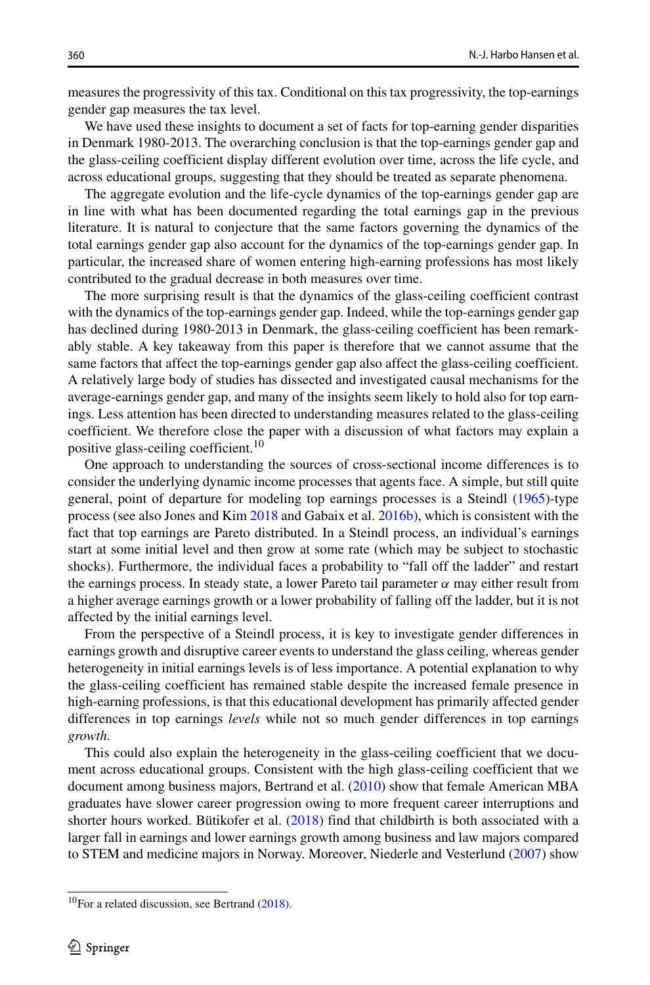measures the progressivity of this tax. Conditional on this tax progressivity, the top-earnings gender gap measures the tax level.

We have used these insights to document a set of facts for top-earning gender disparities in Denmark 1980-2013. The overarching conclusion is that the top-earnings gender gap and the glass-ceiling coefficient display different evolution over time, across the life cycle, and across educational groups, suggesting that they should be treated as separate phenomena.

The aggregate evolution and the life-cycle dynamics of the top-earnings gender gap are in line with what has been documented regarding the total earnings gap in the previous literature. It is natural to conjecture that the same factors governing the dynamics of the total earnings gender gap also account for the dynamics of the top-earnings gender gap. In particular, the increased share of women entering high-earning professions has most likely contributed to the gradual decrease in both measures over time.

The more surprising result is that the dynamics of the glass-ceiling coefficient contrast with the dynamics of the top-earnings gender gap. Indeed, while the top-earnings gender gap has declined during 1980-2013 in Denmark, the glass-ceiling coefficient has been remarkably stable. A key takeaway from this paper is therefore that we cannot assume that the same factors that affect the top-earnings gender gap also affect the glass-ceiling coefficient. A relatively large body of studies has dissected and investigated causal mechanisms for the average-earnings gender gap, and many of the insights seem likely to hold also for top earnings. Less attention has been directed to understanding measures related to the glass-ceiling coefficient. We therefore close the paper with a discussion of what factors may explain a positive glass-ceiling coefficient.[10](#page-13-0)

One approach to understanding the sources of cross-sectional income differences is to consider the underlying dynamic income processes that agents face. A simple, but still quite general, point of departure for modeling top earnings processes is a Steindl [\(1965\)](#page-15-25)-type process (see also Jones and Kim [2018](#page-15-26) and Gabaix et al. [2016b\)](#page-15-27), which is consistent with the fact that top earnings are Pareto distributed. In a Steindl process, an individual's earnings start at some initial level and then grow at some rate (which may be subject to stochastic shocks). Furthermore, the individual faces a probability to "fall off the ladder" and restart the earnings process. In steady state, a lower Pareto tail parameter *α* may either result from a higher average earnings growth or a lower probability of falling off the ladder, but it is not affected by the initial earnings level.

From the perspective of a Steindl process, it is key to investigate gender differences in earnings growth and disruptive career events to understand the glass ceiling, whereas gender heterogeneity in initial earnings levels is of less importance. A potential explanation to why the glass-ceiling coefficient has remained stable despite the increased female presence in high-earning professions, is that this educational development has primarily affected gender differences in top earnings *levels* while not so much gender differences in top earnings *growth*.

This could also explain the heterogeneity in the glass-ceiling coefficient that we document across educational groups. Consistent with the high glass-ceiling coefficient that we document among business majors, Bertrand et al. [\(2010\)](#page-15-21) show that female American MBA graduates have slower career progression owing to more frequent career interruptions and shorter hours worked. Butikofer et al.  $(2018)$  find that childbirth is both associated with a larger fall in earnings and lower earnings growth among business and law majors compared to STEM and medicine majors in Norway. Moreover, Niederle and Vesterlund [\(2007\)](#page-15-29) show

<span id="page-13-0"></span> $10$ For a related discussion, see Bertrand [\(2018\)](#page-15-6).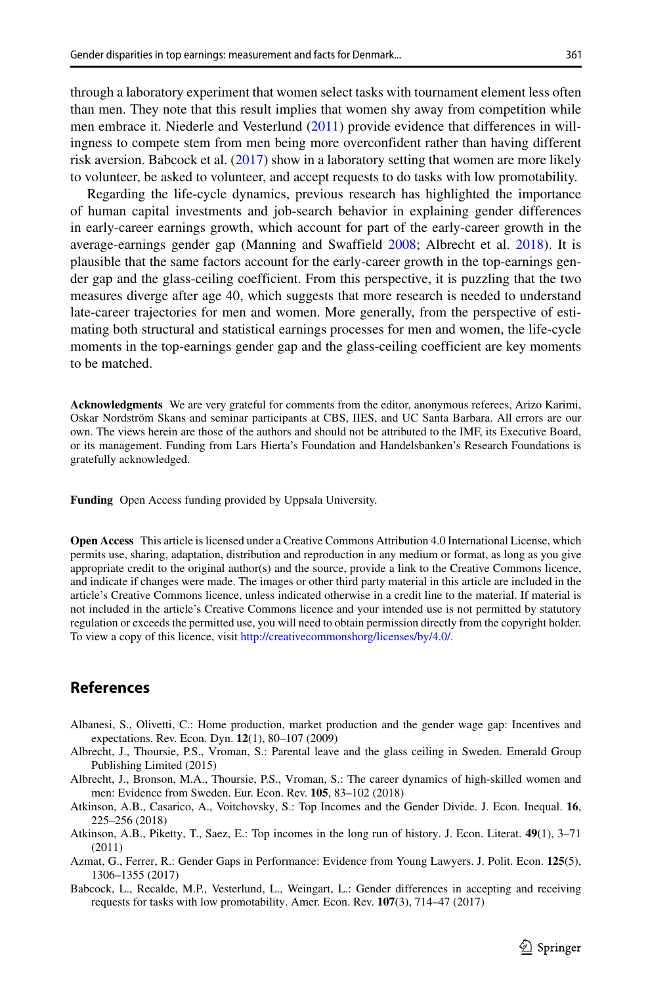through a laboratory experiment that women select tasks with tournament element less often than men. They note that this result implies that women shy away from competition while men embrace it. Niederle and Vesterlund [\(2011\)](#page-15-30) provide evidence that differences in willingness to compete stem from men being more overconfident rather than having different risk aversion. Babcock et al. [\(2017\)](#page-14-6) show in a laboratory setting that women are more likely to volunteer, be asked to volunteer, and accept requests to do tasks with low promotability.

Regarding the life-cycle dynamics, previous research has highlighted the importance of human capital investments and job-search behavior in explaining gender differences in early-career earnings growth, which account for part of the early-career growth in the average-earnings gender gap (Manning and Swaffield [2008;](#page-15-19) Albrecht et al. [2018\)](#page-14-3). It is plausible that the same factors account for the early-career growth in the top-earnings gender gap and the glass-ceiling coefficient. From this perspective, it is puzzling that the two measures diverge after age 40, which suggests that more research is needed to understand late-career trajectories for men and women. More generally, from the perspective of estimating both structural and statistical earnings processes for men and women, the life-cycle moments in the top-earnings gender gap and the glass-ceiling coefficient are key moments to be matched.

**Acknowledgments** We are very grateful for comments from the editor, anonymous referees, Arizo Karimi, Oskar Nordström Skans and seminar participants at CBS, IIES, and UC Santa Barbara. All errors are our own. The views herein are those of the authors and should not be attributed to the IMF, its Executive Board, or its management. Funding from Lars Hierta's Foundation and Handelsbanken's Research Foundations is gratefully acknowledged.

**Funding** Open Access funding provided by Uppsala University.

**Open Access** This article is licensed under a Creative Commons Attribution 4.0 International License, which permits use, sharing, adaptation, distribution and reproduction in any medium or format, as long as you give appropriate credit to the original author(s) and the source, provide a link to the Creative Commons licence, and indicate if changes were made. The images or other third party material in this article are included in the article's Creative Commons licence, unless indicated otherwise in a credit line to the material. If material is not included in the article's Creative Commons licence and your intended use is not permitted by statutory regulation or exceeds the permitted use, you will need to obtain permission directly from the copyright holder. To view a copy of this licence, visit [http://creativecommonshorg/licenses/by/4.0/.](http://creativecommonshorg/licenses/by/4.0/)

# **References**

- <span id="page-14-4"></span>Albanesi, S., Olivetti, C.: Home production, market production and the gender wage gap: Incentives and expectations. Rev. Econ. Dyn. **12**(1), 80–107 (2009)
- <span id="page-14-2"></span>Albrecht, J., Thoursie, P.S., Vroman, S.: Parental leave and the glass ceiling in Sweden. Emerald Group Publishing Limited (2015)
- <span id="page-14-3"></span>Albrecht, J., Bronson, M.A., Thoursie, P.S., Vroman, S.: The career dynamics of high-skilled women and men: Evidence from Sweden. Eur. Econ. Rev. **105**, 83–102 (2018)
- <span id="page-14-0"></span>Atkinson, A.B., Casarico, A., Voitchovsky, S.: Top Incomes and the Gender Divide. J. Econ. Inequal. **16**, 225–256 (2018)
- <span id="page-14-1"></span>Atkinson, A.B., Piketty, T., Saez, E.: Top incomes in the long run of history. J. Econ. Literat. **49**(1), 3–71 (2011)
- <span id="page-14-5"></span>Azmat, G., Ferrer, R.: Gender Gaps in Performance: Evidence from Young Lawyers. J. Polit. Econ. **125**(5), 1306–1355 (2017)
- <span id="page-14-6"></span>Babcock, L., Recalde, M.P., Vesterlund, L., Weingart, L.: Gender differences in accepting and receiving requests for tasks with low promotability. Amer. Econ. Rev. **107**(3), 714–47 (2017)